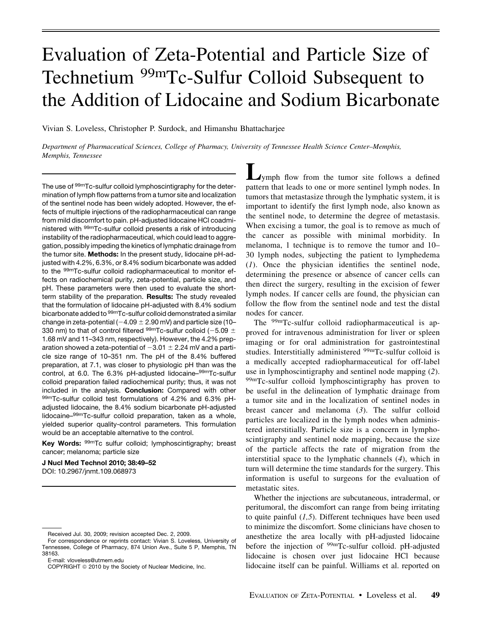# Evaluation of Zeta-Potential and Particle Size of Technetium <sup>99m</sup>Tc-Sulfur Colloid Subsequent to the Addition of Lidocaine and Sodium Bicarbonate

Vivian S. Loveless, Christopher P. Surdock, and Himanshu Bhattacharjee

Department of Pharmaceutical Sciences, College of Pharmacy, University of Tennessee Health Science Center–Memphis, Memphis, Tennessee

The use of <sup>99m</sup>Tc-sulfur colloid lymphoscintigraphy for the determination of lymph flow patterns from a tumor site and localization of the sentinel node has been widely adopted. However, the effects of multiple injections of the radiopharmaceutical can range from mild discomfort to pain. pH-adjusted lidocaine HCl coadministered with 99mTc-sulfur colloid presents a risk of introducing instability of the radiopharmaceutical, which could lead to aggregation, possibly impeding the kinetics of lymphatic drainage from the tumor site. Methods: In the present study, lidocaine pH-adjusted with 4.2%, 6.3%, or 8.4% sodium bicarbonate was added to the 99mTc-sulfur colloid radiopharmaceutical to monitor effects on radiochemical purity, zeta-potential, particle size, and pH. These parameters were then used to evaluate the shortterm stability of the preparation. Results: The study revealed that the formulation of lidocaine pH-adjusted with 8.4% sodium bicarbonate added to 99mTc-sulfur colloid demonstrated a similar change in zeta-potential ( $-4.09 \pm 2.90$  mV) and particle size (10– 330 nm) to that of control filtered  $99m$ Tc-sulfur colloid (-5.09  $\pm$ 1.68 mV and 11–343 nm, respectively). However, the 4.2% preparation showed a zeta-potential of  $-3.01 \pm 2.24$  mV and a particle size range of 10–351 nm. The pH of the 8.4% buffered preparation, at 7.1, was closer to physiologic pH than was the control, at 6.0. The 6.3% pH-adjusted lidocaine–99mTc-sulfur colloid preparation failed radiochemical purity; thus, it was not included in the analysis. Conclusion: Compared with other 99mTc-sulfur colloid test formulations of 4.2% and 6.3% pHadjusted lidocaine, the 8.4% sodium bicarbonate pH-adjusted lidocaine–99mTc-sulfur colloid preparation, taken as a whole, yielded superior quality-control parameters. This formulation would be an acceptable alternative to the control.

Key Words: <sup>99m</sup>Tc sulfur colloid; lymphoscintigraphy; breast cancer; melanoma; particle size

J Nucl Med Technol 2010; 38:49–52 DOI: 10.2967/jnmt.109.068973

E-mail: vloveless@utmem.edu

Lymph flow from the tumor site follows a defined pattern that leads to one or more sentinel lymph nodes. In tumors that metastasize through the lymphatic system, it is important to identify the first lymph node, also known as the sentinel node, to determine the degree of metastasis. When excising a tumor, the goal is to remove as much of the cancer as possible with minimal morbidity. In melanoma, 1 technique is to remove the tumor and 10– 30 lymph nodes, subjecting the patient to lymphedema (1). Once the physician identifies the sentinel node, determining the presence or absence of cancer cells can then direct the surgery, resulting in the excision of fewer lymph nodes. If cancer cells are found, the physician can follow the flow from the sentinel node and test the distal nodes for cancer.

The 99mTc-sulfur colloid radiopharmaceutical is approved for intravenous administration for liver or spleen imaging or for oral administration for gastrointestinal studies. Interstitially administered <sup>99m</sup>Tc-sulfur colloid is a medically accepted radiopharmaceutical for off-label use in lymphoscintigraphy and sentinel node mapping (2).  $99mTc$ -sulfur colloid lymphoscintigraphy has proven to be useful in the delineation of lymphatic drainage from a tumor site and in the localization of sentinel nodes in breast cancer and melanoma (3). The sulfur colloid particles are localized in the lymph nodes when administered interstitially. Particle size is a concern in lymphoscintigraphy and sentinel node mapping, because the size of the particle affects the rate of migration from the interstitial space to the lymphatic channels (4), which in turn will determine the time standards for the surgery. This information is useful to surgeons for the evaluation of metastatic sites.

Whether the injections are subcutaneous, intradermal, or peritumoral, the discomfort can range from being irritating to quite painful  $(1,5)$ . Different techniques have been used to minimize the discomfort. Some clinicians have chosen to anesthetize the area locally with pH-adjusted lidocaine before the injection of <sup>99m</sup>Tc-sulfur colloid. pH-adjusted lidocaine is chosen over just lidocaine HCl because lidocaine itself can be painful. Williams et al. reported on

Received Jul. 30, 2009; revision accepted Dec. 2, 2009.

For correspondence or reprints contact: Vivian S. Loveless, University of Tennessee, College of Pharmacy, 874 Union Ave., Suite 5 P, Memphis, TN 38163.

COPYRIGHT @ 2010 by the Society of Nuclear Medicine, Inc.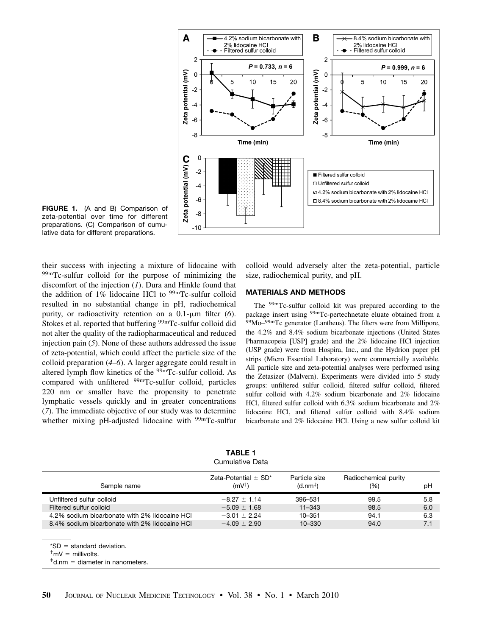

FIGURE 1. (A and B) Comparison of zeta-potential over time for different preparations. (C) Comparison of cumulative data for different preparations.

their success with injecting a mixture of lidocaine with 99mTc-sulfur colloid for the purpose of minimizing the discomfort of the injection  $(I)$ . Dura and Hinkle found that the addition of  $1\%$  lidocaine HCl to  $99m$ Tc-sulfur colloid resulted in no substantial change in pH, radiochemical purity, or radioactivity retention on a  $0.1$ - $\mu$ m filter (6). Stokes et al. reported that buffering <sup>99m</sup>Tc-sulfur colloid did not alter the quality of the radiopharmaceutical and reduced injection pain (5). None of these authors addressed the issue of zeta-potential, which could affect the particle size of the colloid preparation (4–6). A larger aggregate could result in altered lymph flow kinetics of the 99mTc-sulfur colloid. As compared with unfiltered <sup>99m</sup>Tc-sulfur colloid, particles 220 nm or smaller have the propensity to penetrate lymphatic vessels quickly and in greater concentrations (7). The immediate objective of our study was to determine whether mixing pH-adjusted lidocaine with <sup>99m</sup>Tc-sulfur

colloid would adversely alter the zeta-potential, particle size, radiochemical purity, and pH.

## MATERIALS AND METHODS

The 99mTc-sulfur colloid kit was prepared according to the package insert using <sup>99m</sup>Tc-pertechnetate eluate obtained from a 99Mo–<sup>99m</sup>Tc generator (Lantheus). The filters were from Millipore, the 4.2% and 8.4% sodium bicarbonate injections (United States Pharmacopeia [USP] grade) and the 2% lidocaine HCl injection (USP grade) were from Hospira, Inc., and the Hydrion paper pH strips (Micro Essential Laboratory) were commercially available. All particle size and zeta-potential analyses were performed using the Zetasizer (Malvern). Experiments were divided into 5 study groups: unfiltered sulfur colloid, filtered sulfur colloid, filtered sulfur colloid with 4.2% sodium bicarbonate and 2% lidocaine HCl, filtered sulfur colloid with 6.3% sodium bicarbonate and 2% lidocaine HCl, and filtered sulfur colloid with 8.4% sodium bicarbonate and 2% lidocaine HCl. Using a new sulfur colloid kit

| Sample name                                   | Zeta-Potential $\pm$ SD*<br>$(mV^{\dagger})$ | Particle size<br>(d.nm <sup>‡</sup> ) | Radiochemical purity<br>(%) | pH  |
|-----------------------------------------------|----------------------------------------------|---------------------------------------|-----------------------------|-----|
| Unfiltered sulfur colloid                     | $-8.27 \pm 1.14$                             | 396-531                               | 99.5                        | 5.8 |
| Filtered sulfur colloid                       | $-5.09 + 1.68$                               | $11 - 343$                            | 98.5                        | 6.0 |
| 4.2% sodium bicarbonate with 2% lidocaine HCI | $-3.01 + 2.24$                               | $10 - 351$                            | 94.1                        | 6.3 |
| 8.4% sodium bicarbonate with 2% lidocaine HCI | $-4.09 + 2.90$                               | $10 - 330$                            | 94.0                        | 7.1 |
|                                               |                                              |                                       |                             |     |

TABLE 1 Cumulative Data

 $*SD = standard deviation.$ 

 $<sup>†</sup>$ mV = millivolts.</sup>

 $*$ d.nm = diameter in nanometers.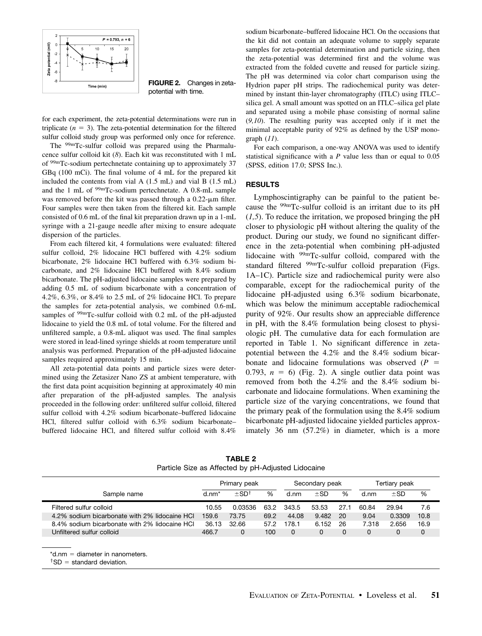

FIGURE 2. Changes in zetapotential with time.

for each experiment, the zeta-potential determinations were run in triplicate  $(n = 3)$ . The zeta-potential determination for the filtered sulfur colloid study group was performed only once for reference.

The 99mTc-sulfur colloid was prepared using the Pharmalucence sulfur colloid kit (8). Each kit was reconstituted with 1 mL of 99mTc-sodium pertechnetate containing up to approximately 37 GBq (100 mCi). The final volume of 4 mL for the prepared kit included the contents from vial A (1.5 mL) and vial B (1.5 mL) and the 1 mL of 99mTc-sodium pertechnetate. A 0.8-mL sample was removed before the kit was passed through a  $0.22$ - $\mu$ m filter. Four samples were then taken from the filtered kit. Each sample consisted of 0.6 mL of the final kit preparation drawn up in a 1-mL syringe with a 21-gauge needle after mixing to ensure adequate dispersion of the particles.

From each filtered kit, 4 formulations were evaluated: filtered sulfur colloid, 2% lidocaine HCl buffered with 4.2% sodium bicarbonate, 2% lidocaine HCl buffered with 6.3% sodium bicarbonate, and 2% lidocaine HCl buffered with 8.4% sodium bicarbonate. The pH-adjusted lidocaine samples were prepared by adding 0.5 mL of sodium bicarbonate with a concentration of 4.2%, 6.3%, or 8.4% to 2.5 mL of 2% lidocaine HCl. To prepare the samples for zeta-potential analysis, we combined 0.6-mL samples of <sup>99m</sup>Tc-sulfur colloid with 0.2 mL of the pH-adjusted lidocaine to yield the 0.8 mL of total volume. For the filtered and unfiltered sample, a 0.8-mL aliquot was used. The final samples were stored in lead-lined syringe shields at room temperature until analysis was performed. Preparation of the pH-adjusted lidocaine samples required approximately 15 min.

All zeta-potential data points and particle sizes were determined using the Zetasizer Nano ZS at ambient temperature, with the first data point acquisition beginning at approximately 40 min after preparation of the pH-adjusted samples. The analysis proceeded in the following order: unfiltered sulfur colloid, filtered sulfur colloid with 4.2% sodium bicarbonate–buffered lidocaine HCl, filtered sulfur colloid with 6.3% sodium bicarbonate– buffered lidocaine HCl, and filtered sulfur colloid with 8.4%

sodium bicarbonate–buffered lidocaine HCl. On the occasions that the kit did not contain an adequate volume to supply separate samples for zeta-potential determination and particle sizing, then the zeta-potential was determined first and the volume was extracted from the folded cuvette and reused for particle sizing. The pH was determined via color chart comparison using the Hydrion paper pH strips. The radiochemical purity was determined by instant thin-layer chromatography (ITLC) using ITLC– silica gel. A small amount was spotted on an ITLC–silica gel plate and separated using a mobile phase consisting of normal saline  $(9,10)$ . The resulting purity was accepted only if it met the minimal acceptable purity of 92% as defined by the USP monograph  $(11)$ .

For each comparison, a one-way ANOVA was used to identify statistical significance with a  $P$  value less than or equal to  $0.05$ (SPSS, edition 17.0; SPSS Inc.).

# RESULTS

Lymphoscintigraphy can be painful to the patient because the  $99m$ Tc-sulfur colloid is an irritant due to its pH  $(1,5)$ . To reduce the irritation, we proposed bringing the pH closer to physiologic pH without altering the quality of the product. During our study, we found no significant difference in the zeta-potential when combining pH-adjusted lidocaine with 99mTc-sulfur colloid, compared with the standard filtered <sup>99m</sup>Tc-sulfur colloid preparation (Figs. 1A–1C). Particle size and radiochemical purity were also comparable, except for the radiochemical purity of the lidocaine pH-adjusted using 6.3% sodium bicarbonate, which was below the minimum acceptable radiochemical purity of 92%. Our results show an appreciable difference in pH, with the 8.4% formulation being closest to physiologic pH. The cumulative data for each formulation are reported in Table 1. No significant difference in zetapotential between the 4.2% and the 8.4% sodium bicarbonate and lidocaine formulations was observed  $(P =$ 0.793,  $n = 6$ ) (Fig. 2). A single outlier data point was removed from both the 4.2% and the 8.4% sodium bicarbonate and lidocaine formulations. When examining the particle size of the varying concentrations, we found that the primary peak of the formulation using the 8.4% sodium bicarbonate pH-adjusted lidocaine yielded particles approximately 36 nm (57.2%) in diameter, which is a more

TABLE 2 Particle Size as Affected by pH-Adjusted Lidocaine

|                                               | Primary peak |                       |      | Secondary peak |          |      | Tertiary peak |          |      |
|-----------------------------------------------|--------------|-----------------------|------|----------------|----------|------|---------------|----------|------|
| Sample name                                   | $d.nm*$      | $\pm$ SD <sup>+</sup> | %    | d.nm           | $\pm$ SD | %    | d.nm          | $\pm$ SD | %    |
| Filtered sulfur colloid                       | 10.55        | 0.03536               | 63.2 | 343.5          | 53.53    | 27.1 | 60.84         | 29.94    | 7.6  |
| 4.2% sodium bicarbonate with 2% lidocaine HCI | 159.6        | 73.75                 | 69.2 | 44.08          | 9.482    | 20   | 9.04          | 0.3309   | 10.8 |
| 8.4% sodium bicarbonate with 2% lidocaine HCI | 36.13        | 32.66                 | 57.2 | 178.1          | 6.152    | 26   | 7.318         | 2.656    | 16.9 |
| Unfiltered sulfur colloid                     | 466.7        | 0                     | 100  | 0              | 0        |      | 0             |          |      |

 $*$ d.nm = diameter in nanometers.

 $<sup>†</sup>SD = standard deviation.$ </sup>